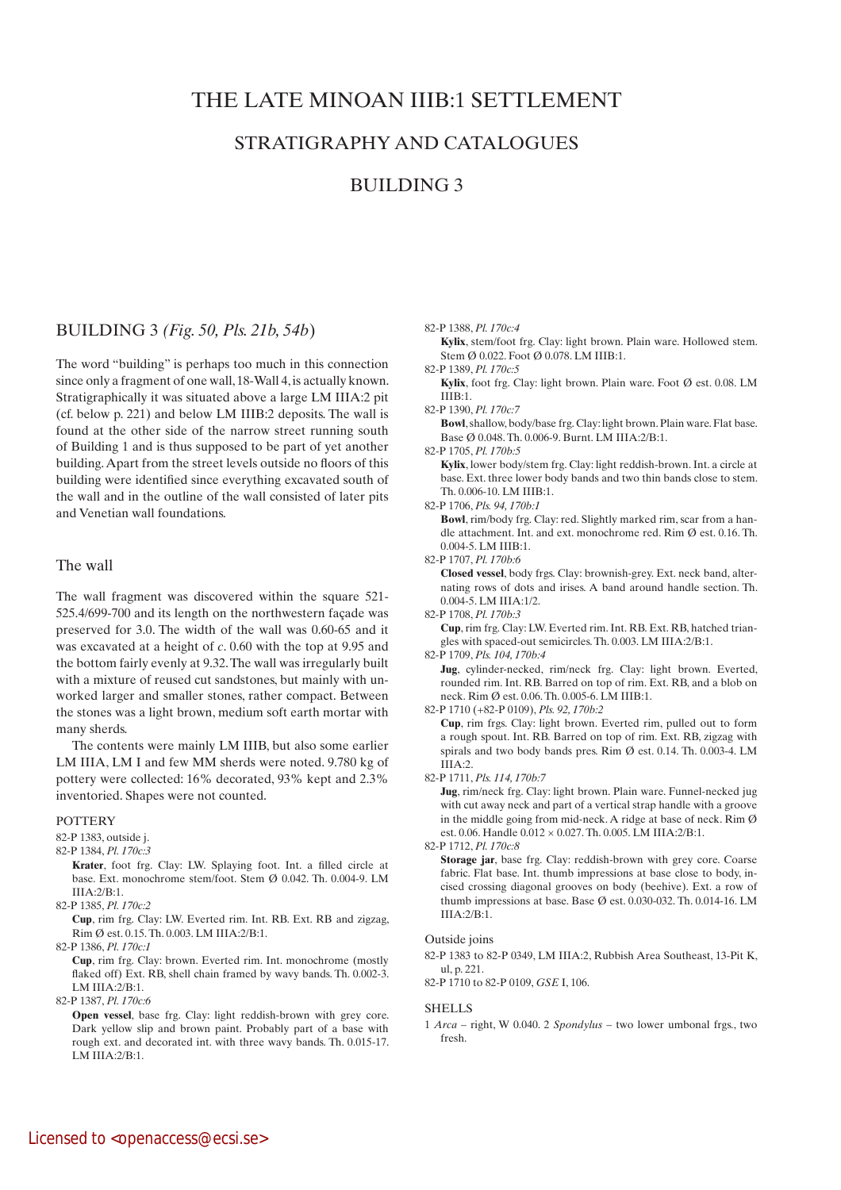# THE LATE MINOAN IIIB:1 SETTLEMENT

# STRATIGRAPHY AND CATALOGUES

## BUILDING 3

### BUILDING 3 *(Fig. 50, Pls. 21b, 54b*)

The word "building" is perhaps too much in this connection since only a fragment of one wall, 18-Wall 4, is actually known. Stratigraphically it was situated above a large LM IIIA:2 pit (cf. below p. 221) and below LM IIIB:2 deposits. The wall is found at the other side of the narrow street running south of Building 1 and is thus supposed to be part of yet another building. Apart from the street levels outside no floors of this building were identified since everything excavated south of the wall and in the outline of the wall consisted of later pits and Venetian wall foundations.

### The wall

The wall fragment was discovered within the square 521- 525.4/699-700 and its length on the northwestern façade was preserved for 3.0. The width of the wall was 0.60-65 and it was excavated at a height of *c*. 0.60 with the top at 9.95 and the bottom fairly evenly at 9.32. The wall was irregularly built with a mixture of reused cut sandstones, but mainly with unworked larger and smaller stones, rather compact. Between the stones was a light brown, medium soft earth mortar with many sherds.

The contents were mainly LM IIIB, but also some earlier LM IIIA, LM I and few MM sherds were noted. 9.780 kg of pottery were collected: 16% decorated, 93% kept and 2.3% inventoried. Shapes were not counted.

#### POTTERY

82-P 1383, outside j.

- 82-P 1384, *Pl. 170c:3*
	- **Krater**, foot frg. Clay: LW. Splaying foot. Int. a filled circle at base. Ext. monochrome stem/foot. Stem Ø 0.042. Th. 0.004-9. LM IIIA:2/B:1.
- 82-P 1385, *Pl. 170c:2*

 **Cup**, rim frg. Clay: LW. Everted rim. Int. RB. Ext. RB and zigzag, Rim Ø est. 0.15. Th. 0.003. LM IIIA:2/B:1.

82-P 1386, *Pl. 170c:1*

 **Cup**, rim frg. Clay: brown. Everted rim. Int. monochrome (mostly flaked off) Ext. RB, shell chain framed by wavy bands. Th. 0.002-3. LM IIIA:2/B:1.

82-P 1387, *Pl. 170c:6*

**Open vessel**, base frg. Clay: light reddish-brown with grey core. Dark yellow slip and brown paint. Probably part of a base with rough ext. and decorated int. with three wavy bands. Th. 0.015-17. LM IIIA:2/B:1.

82-P 1388, *Pl. 170c:4*

**Kylix**, stem/foot frg. Clay: light brown. Plain ware. Hollowed stem. Stem Ø 0.022. Foot Ø 0.078. LM IIIB:1.

82-P 1389, *Pl. 170c:5*

- **Kylix**, foot frg. Clay: light brown. Plain ware. Foot Ø est. 0.08. LM IIIB:1.
- 82-P 1390, *Pl. 170c:7*

 **Bowl**, shallow, body/base frg. Clay: light brown. Plain ware. Flat base. Base Ø 0.048. Th. 0.006-9. Burnt. LM IIIA:2/B:1.

82-P 1705, *Pl. 170b:5*

 **Kylix**, lower body/stem frg. Clay: light reddish-brown. Int. a circle at base. Ext. three lower body bands and two thin bands close to stem. Th. 0.006-10. LM IIIB:1.

82-P 1706, *Pls. 94, 170b:1*

 **Bowl**, rim/body frg. Clay: red. Slightly marked rim, scar from a handle attachment. Int. and ext. monochrome red. Rim Ø est. 0.16. Th. 0.004-5. LM IIIB:1.

82-P 1707, *Pl. 170b:6*

 **Closed vessel**, body frgs. Clay: brownish-grey. Ext. neck band, alternating rows of dots and irises. A band around handle section. Th. 0.004-5. LM IIIA:1/2.

82-P 1708, *Pl. 170b:3*

 **Cup**, rim frg. Clay: LW. Everted rim. Int. RB. Ext. RB, hatched triangles with spaced-out semicircles. Th. 0.003. LM IIIA:2/B:1.

82-P 1709, *Pls. 104, 170b:4* 

 **Jug**, cylinder-necked, rim/neck frg. Clay: light brown. Everted, rounded rim. Int. RB. Barred on top of rim. Ext. RB, and a blob on neck. Rim Ø est. 0.06. Th. 0.005-6. LM IIIB:1.

82-P 1710 (+82-P 0109), *Pls. 92, 170b:2*

 **Cup**, rim frgs. Clay: light brown. Everted rim, pulled out to form a rough spout. Int. RB. Barred on top of rim. Ext. RB, zigzag with spirals and two body bands pres. Rim Ø est. 0.14. Th. 0.003-4. LM IIIA:2.

82-P 1711, *Pls. 114, 170b:7*

 **Jug**, rim/neck frg. Clay: light brown. Plain ware. Funnel-necked jug with cut away neck and part of a vertical strap handle with a groove in the middle going from mid-neck. A ridge at base of neck. Rim  $\emptyset$ est. 0.06. Handle 0.012 × 0.027. Th. 0.005. LM IIIA:2/B:1.

82-P 1712, *Pl. 170c:8*

 **Storage jar**, base frg. Clay: reddish-brown with grey core. Coarse fabric. Flat base. Int. thumb impressions at base close to body, incised crossing diagonal grooves on body (beehive). Ext. a row of thumb impressions at base. Base Ø est. 0.030-032. Th. 0.014-16. LM IIIA:2/B:1.

#### Outside joins

82-P 1383 to 82-P 0349, LM IIIA:2, Rubbish Area Southeast, 13-Pit K, ul, p. 221.

82-P 1710 to 82-P 0109, *GSE* I, 106.

#### SHELLS

1 *Arca* – right, W 0.040. 2 *Spondylus* – two lower umbonal frgs., two fresh.